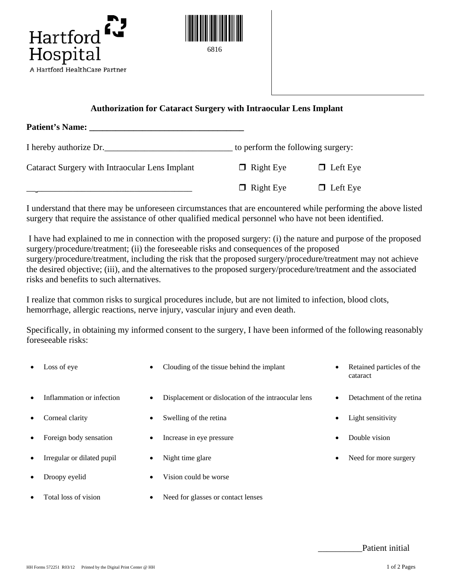



## **Authorization for Cataract Surgery with Intraocular Lens Implant**

| Patient's Name: Names                          |                                   |                 |
|------------------------------------------------|-----------------------------------|-----------------|
| I hereby authorize Dr.                         | to perform the following surgery: |                 |
| Cataract Surgery with Intraocular Lens Implant | $\Box$ Right Eye                  | $\Box$ Left Eye |
|                                                | $\Box$ Right Eye                  | $\Box$ Left Eye |

I understand that there may be unforeseen circumstances that are encountered while performing the above listed surgery that require the assistance of other qualified medical personnel who have not been identified.

I have had explained to me in connection with the proposed surgery: (i) the nature and purpose of the proposed surgery/procedure/treatment; (ii) the foreseeable risks and consequences of the proposed surgery/procedure/treatment, including the risk that the proposed surgery/procedure/treatment may not achieve the desired objective; (iii), and the alternatives to the proposed surgery/procedure/treatment and the associated risks and benefits to such alternatives.

I realize that common risks to surgical procedures include, but are not limited to infection, blood clots, hemorrhage, allergic reactions, nerve injury, vascular injury and even death.

Specifically, in obtaining my informed consent to the surgery, I have been informed of the following reasonably foreseeable risks:

| ٠         | Loss of eye                | $\bullet$ | Clouding of the tissue behind the implant           | $\bullet$ | Retained particles of the<br>cataract |
|-----------|----------------------------|-----------|-----------------------------------------------------|-----------|---------------------------------------|
| $\bullet$ | Inflammation or infection  | $\bullet$ | Displacement or dislocation of the intraocular lens | $\bullet$ | Detachment of the retina              |
| ٠         | Corneal clarity            | ٠         | Swelling of the retina                              | $\bullet$ | Light sensitivity                     |
| $\bullet$ | Foreign body sensation     | $\bullet$ | Increase in eye pressure                            | $\bullet$ | Double vision                         |
| $\bullet$ | Irregular or dilated pupil | $\bullet$ | Night time glare                                    | $\bullet$ | Need for more surgery                 |
| ٠         | Droopy eyelid              | $\bullet$ | Vision could be worse                               |           |                                       |
| ٠         | Total loss of vision       | $\bullet$ | Need for glasses or contact lenses                  |           |                                       |